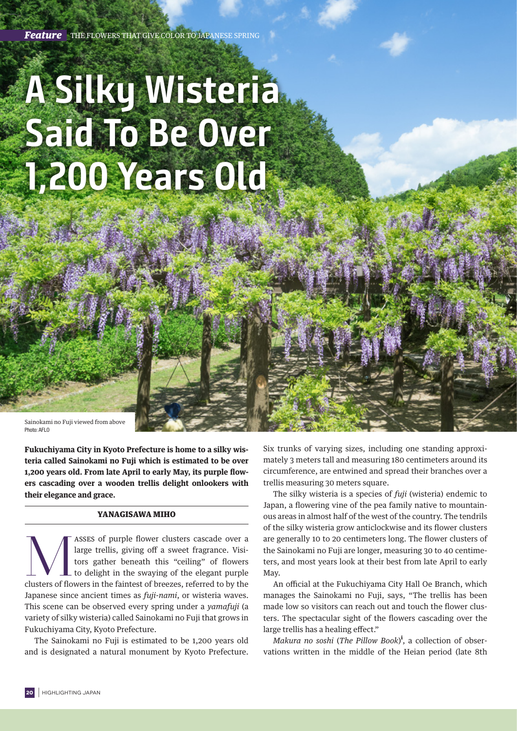## **A Silky Wisteria Said To Be Over 1,200 Years Old**

Sainokami no Fuji viewed from above Photo: AFLO

**Fukuchiyama City in Kyoto Prefecture is home to a silky wisteria called Sainokami no Fuji which is estimated to be over 1,200 years old. From late April to early May, its purple flowers cascading over a wooden trellis delight onlookers with their elegance and grace.**

## YANAGISAWA MIHO

ASSES of purple flower clusters cascade over a large trellis, giving off a sweet fragrance. Visitors gather beneath this "ceiling" of flowers to delight in the swaying of the elegant purple clusters of flowers in the faint large trellis, giving off a sweet fragrance. Visitors gather beneath this "ceiling" of flowers to delight in the swaying of the elegant purple Japanese since ancient times as *fuji-nami*, or wisteria waves. This scene can be observed every spring under a *yamafuji* (a variety of silky wisteria) called Sainokami no Fuji that grows in Fukuchiyama City, Kyoto Prefecture.

The Sainokami no Fuji is estimated to be 1,200 years old and is designated a natural monument by Kyoto Prefecture. Six trunks of varying sizes, including one standing approximately 3 meters tall and measuring 180 centimeters around its circumference, are entwined and spread their branches over a trellis measuring 30 meters square.

The silky wisteria is a species of *fuji* (wisteria) endemic to Japan, a flowering vine of the pea family native to mountainous areas in almost half of the west of the country. The tendrils of the silky wisteria grow anticlockwise and its flower clusters are generally 10 to 20 centimeters long. The flower clusters of the Sainokami no Fuji are longer, measuring 30 to 40 centimeters, and most years look at their best from late April to early May.

An official at the Fukuchiyama City Hall Oe Branch, which manages the Sainokami no Fuji, says, "The trellis has been made low so visitors can reach out and touch the flower clusters. The spectacular sight of the flowers cascading over the large trellis has a healing effect."

*Makura no soshi* (*The Pillow Book*) i , a collection of observations written in the middle of the Heian period (late 8th